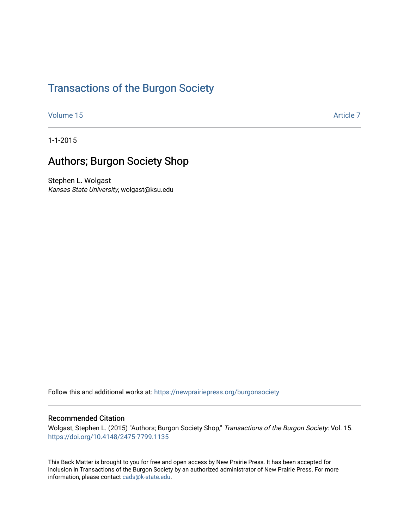# [Transactions of the Burgon Society](https://newprairiepress.org/burgonsociety)

[Volume 15](https://newprairiepress.org/burgonsociety/vol15) Article 7

1-1-2015

### Authors; Burgon Society Shop

Stephen L. Wolgast Kansas State University, wolgast@ksu.edu

Follow this and additional works at: [https://newprairiepress.org/burgonsociety](https://newprairiepress.org/burgonsociety?utm_source=newprairiepress.org%2Fburgonsociety%2Fvol15%2Fiss1%2F7&utm_medium=PDF&utm_campaign=PDFCoverPages)

#### Recommended Citation

Wolgast, Stephen L. (2015) "Authors; Burgon Society Shop," Transactions of the Burgon Society: Vol. 15. [https://doi.org/10.4148/2475-7799.1135](https://dx.doi.org/10.4148/2475-7799.1135) 

This Back Matter is brought to you for free and open access by New Prairie Press. It has been accepted for inclusion in Transactions of the Burgon Society by an authorized administrator of New Prairie Press. For more information, please contact [cads@k-state.edu](mailto:cads@k-state.edu).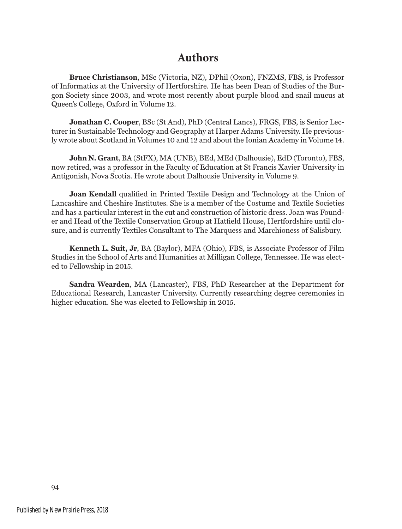### **Authors**

**Bruce Christianson**, MSc (Victoria, NZ), DPhil (Oxon), FNZMS, FBS, is Professor of Informatics at the University of Hertforshire. He has been Dean of Studies of the Burgon Society since 2003, and wrote most recently about purple blood and snail mucus at Queen's College, Oxford in Volume 12.

**Jonathan C. Cooper**, BSc (St And), PhD (Central Lancs), FRGS, FBS, is Senior Lecturer in Sustainable Technology and Geography at Harper Adams University. He previously wrote about Scotland in Volumes 10 and 12 and about the Ionian Academy in Volume 14.

**John N. Grant**, BA (StFX), MA (UNB), BEd, MEd (Dalhousie), EdD (Toronto), FBS, now retired, was a professor in the Faculty of Education at St Francis Xavier University in Antigonish, Nova Scotia. He wrote about Dalhousie University in Volume 9.

**Joan Kendall** qualified in Printed Textile Design and Technology at the Union of Lancashire and Cheshire Institutes. She is a member of the Costume and Textile Societies and has a particular interest in the cut and construction of historic dress. Joan was Founder and Head of the Textile Conservation Group at Hatfield House, Hertfordshire until closure, and is currently Textiles Consultant to The Marquess and Marchioness of Salisbury.

**Kenneth L. Suit, Jr**, BA (Baylor), MFA (Ohio), FBS, is Associate Professor of Film Studies in the School of Arts and Humanities at Milligan College, Tennessee. He was elected to Fellowship in 2015.

**Sandra Wearden**, MA (Lancaster), FBS, PhD Researcher at the Department for Educational Research, Lancaster University. Currently researching degree ceremonies in higher education. She was elected to Fellowship in 2015.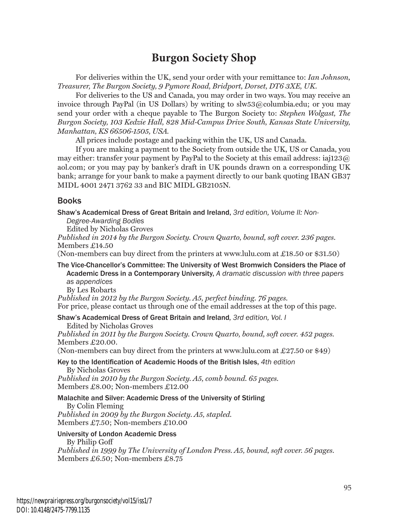## **Burgon Society Shop**

For deliveries within the UK, send your order with your remittance to: *Ian Johnson, Treasurer, The Burgon Society, 9 Pymore Road, Bridport, Dorset, DT6 3XE, UK.*

For deliveries to the US and Canada, you may order in two ways. You may receive an invoice through PayPal (in US Dollars) by writing to slw53@columbia.edu; or you may send your order with a cheque payable to The Burgon Society to: *Stephen Wolgast, The Burgon Society, 103 Kedzie Hall, 828 Mid-Campus Drive South, Kansas State University, Manhattan, KS 66506-1505, USA.* 

All prices include postage and packing within the UK, US and Canada.

If you are making a payment to the Society from outside the UK, US or Canada, you may either: transfer your payment by PayPal to the Society at this email address: iaj123 $@$ aol.com; or you may pay by banker's draft in UK pounds drawn on a corresponding UK bank; arrange for your bank to make a payment directly to our bank quoting IBAN GB37 MIDL 4001 2471 3762 33 and BIC MIDL GB2105N.

#### Books

Shaw's Academical Dress of Great Britain and Ireland, *3rd edition, Volume II: Non-*

*Degree-Awarding Bodies* 

Edited by Nicholas Groves

*Published in 2014 by the Burgon Society. Crown Quarto, bound, soft cover. 236 pages.* Members £14.50

(Non-members can buy direct from the printers at www.lulu.com at £18.50 or \$31.50)

The Vice-Chancellor's Committee: The University of West Bromwich Considers the Place of Academic Dress in a Contemporary University, *A dramatic discussion with three papers as appendices*

By Les Robarts

*Published in 2012 by the Burgon Society. A5, perfect binding. 76 pages.*

For price, please contact us through one of the email addresses at the top of this page.

Shaw's Academical Dress of Great Britain and Ireland*, 3rd edition, Vol. I*

Edited by Nicholas Groves *Published in 2011 by the Burgon Society. Crown Quarto, bound, soft cover. 452 pages.* Members £20.00.

(Non-members can buy direct from the printers at www.lulu.com at £27.50 or \$49)

#### Key to the Identification of Academic Hoods of the British Isles, *4th edition*  By Nicholas Groves

*Published in 2010 by the Burgon Society. A5, comb bound. 65 pages.* Members £8.00; Non-members £12.00

#### Malachite and Silver: Academic Dress of the University of Stirling

By Colin Fleming *Published in 2009 by the Burgon Society. A5, stapled.* Members £7.50; Non-members £10.00

#### University of London Academic Dress

By Philip Goff

*Published in 1999 by The University of London Press. A5, bound, soft cover. 56 pages.* Members £6.50; Non-members £8.75